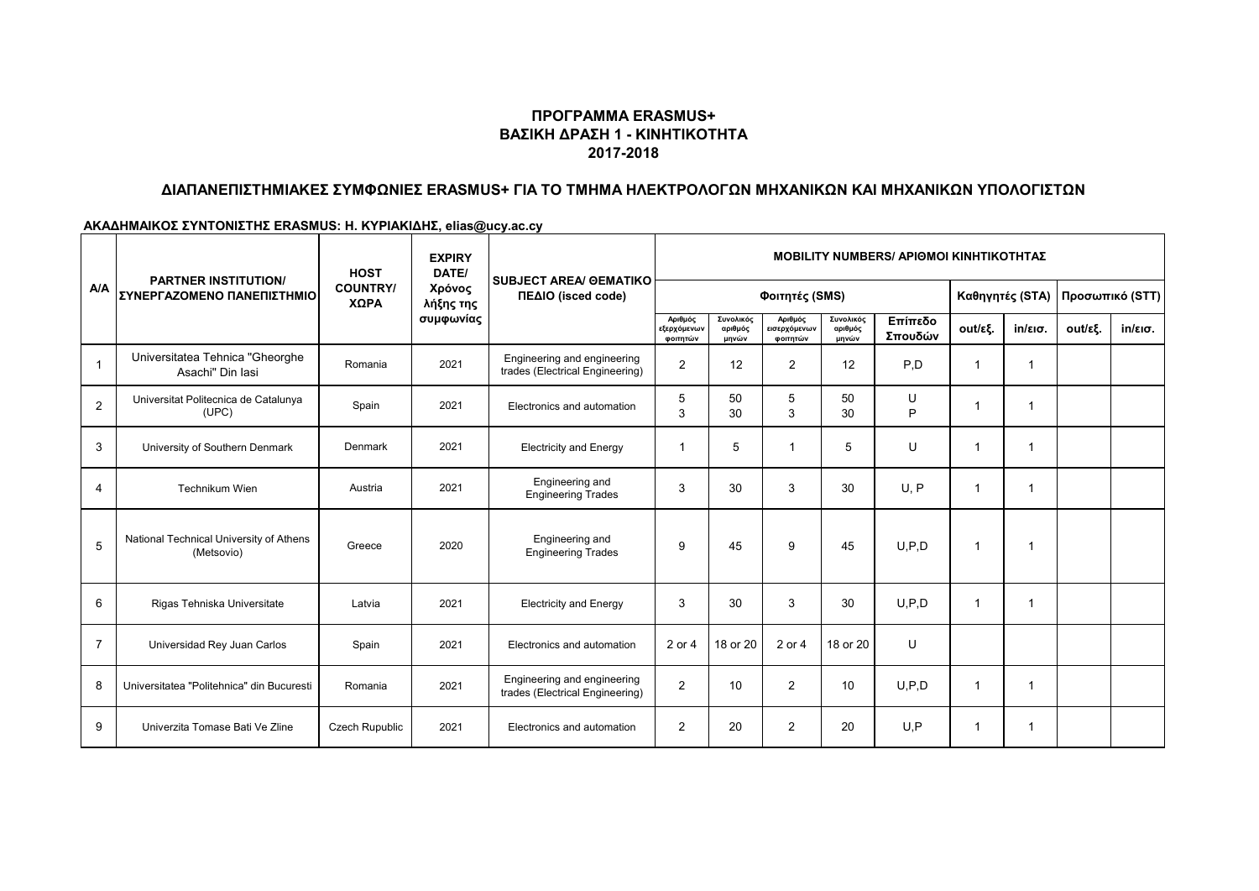### **ΠΡΟΓΡΑΜΜΑ ERASMUS+ ΒΑΣΙΚΗ ΔΡΑΣΗ 1 - ΚΙΝΗΤΙΚΟΤΗΤΑ 2017-2018**

# **ΔΙΑΠΑΝΕΠΙΣΤΗΜΙΑΚΕΣ ΣΥΜΦΩΝΙΕΣ ERASMUS+ ΓΙΑ ΤΟ ΤΜΗΜΑ ΗΛΕΚΤΡΟΛΟΓΩΝ ΜΗΧΑΝΙΚΩΝ ΚΑΙ ΜΗΧΑΝΙΚΩΝ ΥΠΟΛΟΓΙΣΤΩΝ**

#### **ΑΚΑΔΗΜΑΙΚΟΣ ΣΥΝΤΟΝΙΣΤΗΣ ERASMUS: Η. ΚΥΡΙΑΚΙΔΗΣ, elias@ucy.ac.cy**

|                |                                                           | <b>HOST</b>             | <b>EXPIRY</b><br>DATE/<br>Χρόνος<br>λήξης της | <b>SUBJECT AREA/ GEMATIKO</b><br>ΠΕΔΙΟ (isced code)            | <b>MOBILITY NUMBERS/ APIOMOI KINHTIKOTHTAZ</b> |                               |                                     |                               |                    |                 |         |                 |                   |
|----------------|-----------------------------------------------------------|-------------------------|-----------------------------------------------|----------------------------------------------------------------|------------------------------------------------|-------------------------------|-------------------------------------|-------------------------------|--------------------|-----------------|---------|-----------------|-------------------|
| <b>A/A</b>     | <b>PARTNER INSTITUTION/</b><br>ΣΥΝΕΡΓΑΖΟΜΕΝΟ ΠΑΝΕΠΙΣΤΗΜΙΟ | <b>COUNTRY/</b><br>ΧΩΡΑ |                                               |                                                                | Φοιτητές (SMS)                                 |                               |                                     |                               |                    | Καθηγητές (STA) |         | Προσωπικό (STT) |                   |
|                |                                                           |                         | συμφωνίας                                     |                                                                | Αριθμός<br>εξερχόμενων<br>φοιτητών             | Συνολικός<br>αριθμός<br>μηνών | Αριθμός<br>εισερχόμενων<br>φοιτητών | Συνολικός<br>αριθμός<br>μηνών | Επίπεδο<br>Σπουδών | out/εξ.         | in/εισ. | out/εξ.         | $in/\epsilon$ ισ. |
| $\overline{1}$ | Universitatea Tehnica "Gheorghe<br>Asachi" Din Iasi       | Romania                 | 2021                                          | Engineering and engineering<br>trades (Electrical Engineering) | $\overline{2}$                                 | 12                            | $\overline{2}$                      | 12                            | P.D                | 1               | 1       |                 |                   |
| $\overline{2}$ | Universitat Politecnica de Catalunya<br>(UPC)             | Spain                   | 2021                                          | Electronics and automation                                     | 5<br>3                                         | 50<br>30                      | 5<br>3                              | 50<br>30                      | U<br>P             | 1               |         |                 |                   |
| 3              | University of Southern Denmark                            | Denmark                 | 2021                                          | <b>Electricity and Energy</b>                                  | 1                                              | 5                             | 1                                   | 5                             | U                  | 1               | 1       |                 |                   |
| 4              | Technikum Wien                                            | Austria                 | 2021                                          | Engineering and<br><b>Engineering Trades</b>                   | 3                                              | 30                            | 3                                   | 30                            | U, P               | -1              | 1       |                 |                   |
| 5              | National Technical University of Athens<br>(Metsovio)     | Greece                  | 2020                                          | Engineering and<br><b>Engineering Trades</b>                   | 9                                              | 45                            | 9                                   | 45                            | U.P.D              | 1               | 1       |                 |                   |
| 6              | Rigas Tehniska Universitate                               | Latvia                  | 2021                                          | <b>Electricity and Energy</b>                                  | 3                                              | 30                            | 3                                   | 30                            | U.P.D              | 1               | 1       |                 |                   |
| $\overline{7}$ | Universidad Rey Juan Carlos                               | Spain                   | 2021                                          | Electronics and automation                                     | 2 or 4                                         | 18 or 20                      | 2 or 4                              | 18 or 20                      | U                  |                 |         |                 |                   |
| 8              | Universitatea "Politehnica" din Bucuresti                 | Romania                 | 2021                                          | Engineering and engineering<br>trades (Electrical Engineering) | 2                                              | 10                            | 2                                   | 10                            | U.P.D              | 1               | 1       |                 |                   |
| 9              | Univerzita Tomase Bati Ve Zline                           | <b>Czech Rupublic</b>   | 2021                                          | Electronics and automation                                     | 2                                              | 20                            | $\overline{c}$                      | 20                            | U.P                | 1               | 1       |                 |                   |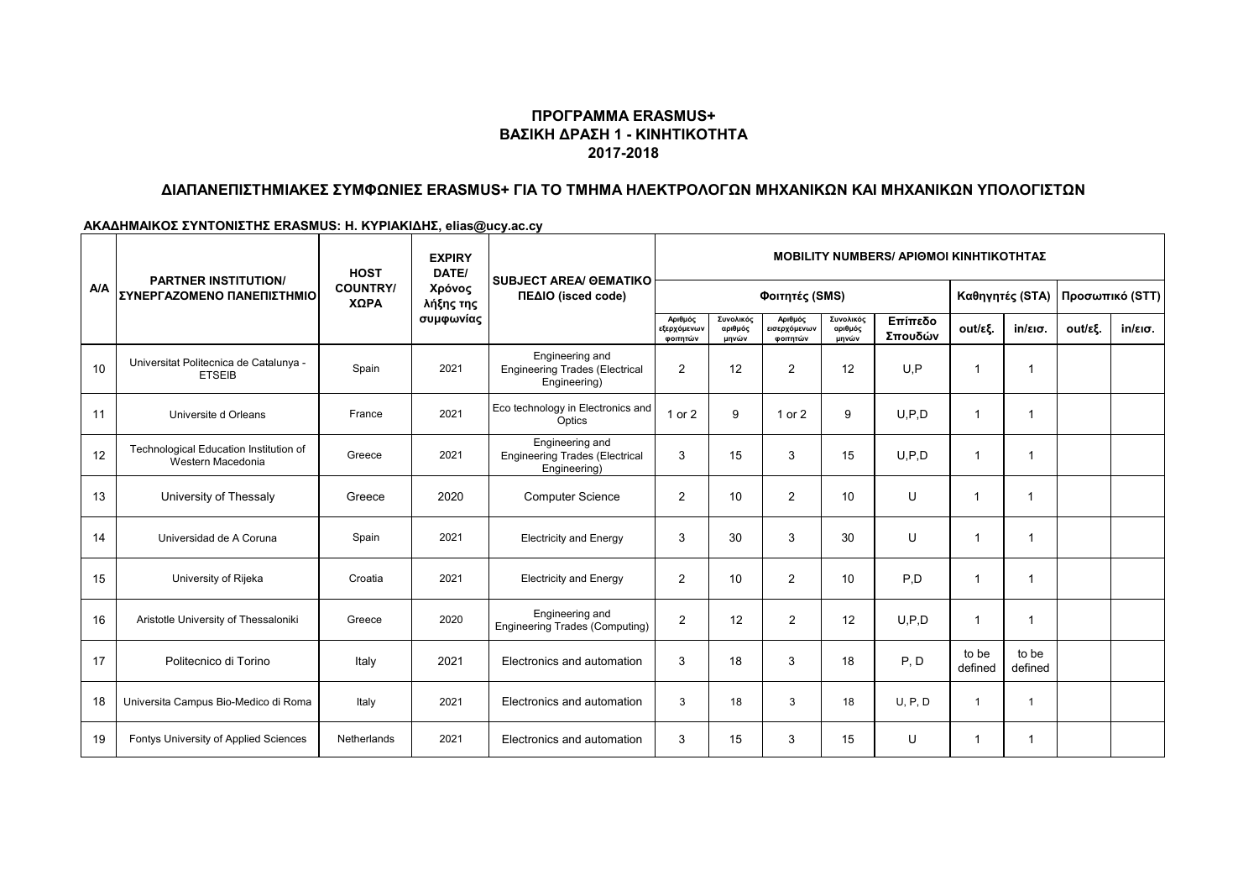### **ΠΡΟΓΡΑΜΜΑ ERASMUS+ ΒΑΣΙΚΗ ΔΡΑΣΗ 1 - ΚΙΝΗΤΙΚΟΤΗΤΑ 2017-2018**

# **ΔΙΑΠΑΝΕΠΙΣΤΗΜΙΑΚΕΣ ΣΥΜΦΩΝΙΕΣ ERASMUS+ ΓΙΑ ΤΟ ΤΜΗΜΑ ΗΛΕΚΤΡΟΛΟΓΩΝ ΜΗΧΑΝΙΚΩΝ ΚΑΙ ΜΗΧΑΝΙΚΩΝ ΥΠΟΛΟΓΙΣΤΩΝ**

**ΑΚΑΔΗΜΑΙΚΟΣ ΣΥΝΤΟΝΙΣΤΗΣ ERASMUS: Η. ΚΥΡΙΑΚΙΔΗΣ, elias@ucy.ac.cy**

| <b>A/A</b> | <b>PARTNER INSTITUTION/</b><br>ΣΥΝΕΡΓΑΖΟΜΕΝΟ ΠΑΝΕΠΙΣΤΗΜΙΟ   | <b>HOST</b>             | <b>EXPIRY</b><br>DATE/<br>Χρόνος<br>λήξης της<br>συμφωνίας | <b>SUBJECT AREA/ GEMATIKO</b><br>ΠΕΔΙΟ (isced code)                      | <b>ΜΟΒΙLITY NUMBERS/ ΑΡΙΘΜΟΙ ΚΙΝΗΤΙΚΟΤΗΤΑΣ</b> |                               |                                     |                               |                    |                  |                   |                 |                               |
|------------|-------------------------------------------------------------|-------------------------|------------------------------------------------------------|--------------------------------------------------------------------------|------------------------------------------------|-------------------------------|-------------------------------------|-------------------------------|--------------------|------------------|-------------------|-----------------|-------------------------------|
|            |                                                             | <b>COUNTRY/</b><br>ΧΩΡΑ |                                                            |                                                                          | Φοιτητές (SMS)                                 |                               |                                     |                               |                    | Καθηγητές (STA)  |                   | Προσωπικό (STT) |                               |
|            |                                                             |                         |                                                            |                                                                          | Αριθμός<br>εξερχόμενων<br>φοιτητών             | Συνολικός<br>αριθμός<br>μηνών | Αριθμός<br>εισερχόμενων<br>φοιτητών | Συνολικός<br>αριθμός<br>μηνών | Επίπεδο<br>Σπουδών | out/εξ.          | $in/\epsilon$ ισ. | out/εξ.         | $in/\epsilon$ <sub>10</sub> . |
| 10         | Universitat Politecnica de Catalunya -<br><b>ETSEIB</b>     | Spain                   | 2021                                                       | Engineering and<br><b>Engineering Trades (Electrical</b><br>Engineering) | 2                                              | 12                            | $\overline{2}$                      | 12                            | U.P                | -1               | 1                 |                 |                               |
| 11         | Universite d Orleans                                        | France                  | 2021                                                       | Eco technology in Electronics and<br>Optics                              | $1$ or $2$                                     | 9                             | 1 or 2                              | 9                             | U.P.D              | -1               | $\mathbf{1}$      |                 |                               |
| 12         | Technological Education Institution of<br>Western Macedonia | Greece                  | 2021                                                       | Engineering and<br><b>Engineering Trades (Electrical</b><br>Engineering) | 3                                              | 15                            | 3                                   | 15                            | U.P.D              | -1               | $\mathbf{1}$      |                 |                               |
| 13         | University of Thessaly                                      | Greece                  | 2020                                                       | <b>Computer Science</b>                                                  | $\overline{2}$                                 | 10                            | $\overline{2}$                      | 10                            | U                  | -1               |                   |                 |                               |
| 14         | Universidad de A Coruna                                     | Spain                   | 2021                                                       | <b>Electricity and Energy</b>                                            | 3                                              | 30                            | 3                                   | 30                            | U                  |                  | 1                 |                 |                               |
| 15         | University of Rijeka                                        | Croatia                 | 2021                                                       | <b>Electricity and Energy</b>                                            | 2                                              | 10                            | $\overline{2}$                      | 10                            | P.D                | -1               | -1                |                 |                               |
| 16         | Aristotle University of Thessaloniki                        | Greece                  | 2020                                                       | Engineering and<br><b>Engineering Trades (Computing)</b>                 | 2                                              | 12                            | $\overline{2}$                      | 12                            | U.P.D              | $\overline{1}$   | -1                |                 |                               |
| 17         | Politecnico di Torino                                       | Italy                   | 2021                                                       | Electronics and automation                                               | 3                                              | 18                            | 3                                   | 18                            | P, D               | to be<br>defined | to be<br>defined  |                 |                               |
| 18         | Universita Campus Bio-Medico di Roma                        | Italy                   | 2021                                                       | Electronics and automation                                               | 3                                              | 18                            | 3                                   | 18                            | U, P, D            | $\overline{1}$   | $\mathbf{1}$      |                 |                               |
| 19         | Fontys University of Applied Sciences                       | Netherlands             | 2021                                                       | Electronics and automation                                               | 3                                              | 15                            | 3                                   | 15                            | U                  | $\overline{1}$   | $\mathbf{1}$      |                 |                               |